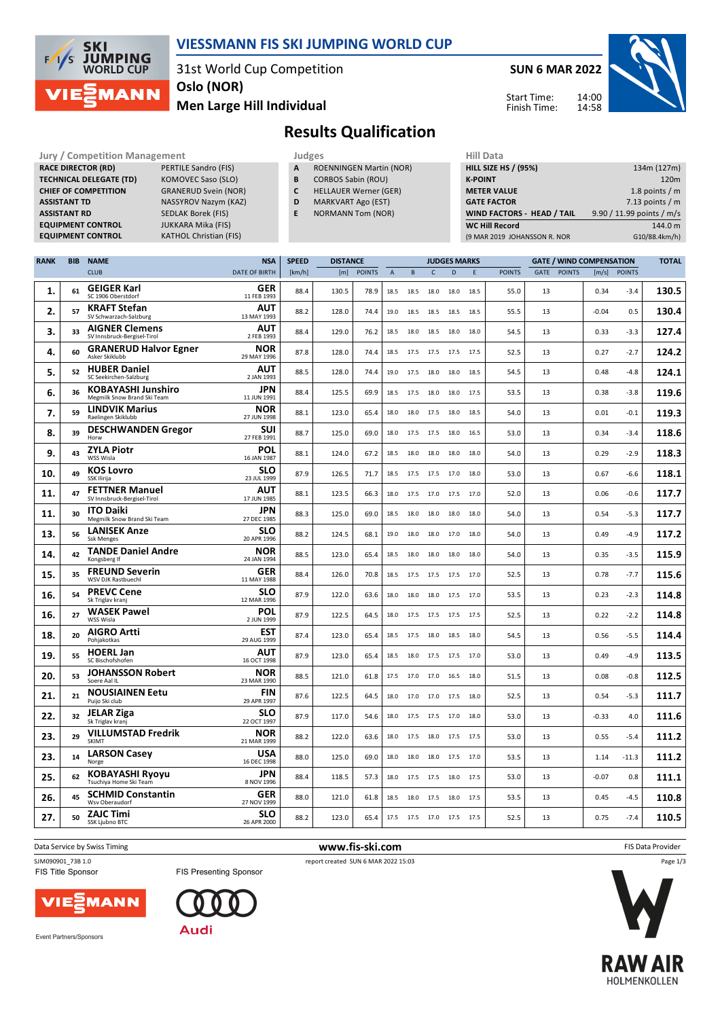

## **VIESSMANN FIS SKI JUMPING WORLD CUP**

31st World Cup Competition **Oslo (NOR)**

**KATHOL Christian (FIS)** 

**Men Large Hill Individual**

**SUN 6 MAR 2022**

Start Time: Finish Time:



## **Results Qualification**

**Jury / Competition Management Judges Hill Data**<br> **RACE DIRECTOR (RD)** PERTILE Sandro (FIS) **A** ROENNINGEN Martin (NOR) **HILL SIZE H RACE DIRECTOR (RD) TECHNICAL DELEGATE (TD)** KOMOVEC Saso (SLO) **CHIEF OF COMPETITION** GRANERUD Svein (NOR) **ASSISTANT TD** NASSYROV Nazym (KAZ) **ASSISTANT RD** SEDLAK Borek (FIS)<br>**EQUIPMENT CONTROL** JUKKARA Mika (FIS) **EQUIPMENT CONTROL**<br>**EQUIPMENT CONTROL** 

- **A** ROENNINGEN Martin (NOR)
- **B** CORBOS Sabin (ROU)
- **C** HELLAUER Werner (GER)
- **D** MARKVART Ago (EST)
- **E** NORMANN Tom (NOR)

| <b>HILL SIZE HS / (95%)</b>       | 134m (127m)               |
|-----------------------------------|---------------------------|
| <b>K-POINT</b>                    | 120 <sub>m</sub>          |
| <b>METER VALUE</b>                | 1.8 points $/m$           |
| <b>GATE FACTOR</b>                | 7.13 points $/m$          |
| <b>WIND FACTORS - HEAD / TAIL</b> | 9.90 / 11.99 points / m/s |
| <b>WC Hill Record</b>             | 144.0 m                   |
| (9 MAR 2019 JOHANSSON R. NOR      | G10/88.4km/h)             |
|                                   |                           |

| <b>RANK</b> | <b>BIB</b> | <b>NAME</b>                                              | <b>NSA</b>                | <b>SPEED</b> | <b>DISTANCE</b> |               |                | <b>JUDGES MARKS</b> |              |              | <b>GATE / WIND COMPENSATION</b> |               | <b>TOTAL</b> |               |         |               |       |
|-------------|------------|----------------------------------------------------------|---------------------------|--------------|-----------------|---------------|----------------|---------------------|--------------|--------------|---------------------------------|---------------|--------------|---------------|---------|---------------|-------|
|             |            | <b>CLUB</b>                                              | <b>DATE OF BIRTH</b>      | [km/h]       | [m]             | <b>POINTS</b> | $\overline{A}$ | B                   | $\mathsf{C}$ | $\mathbf{D}$ | E                               | <b>POINTS</b> | GATE         | <b>POINTS</b> | [m/s]   | <b>POINTS</b> |       |
| 1.          | 61         | <b>GEIGER Karl</b><br>SC 1906 Oberstdorf                 | <b>GER</b><br>11 FEB 1993 | 88.4         | 130.5           | 78.9          | 18.5           | 18.5                | 18.0         | 18.0         | 18.5                            | 55.0          | 13           |               | 0.34    | $-3.4$        | 130.5 |
| 2.          | 57         | <b>KRAFT Stefan</b><br>SV Schwarzach-Salzburg            | <b>AUT</b><br>13 MAY 1993 | 88.2         | 128.0           | 74.4          | 19.0           | 18.5                | 18.5         | 18.5         | 18.5                            | 55.5          | 13           |               | $-0.04$ | 0.5           | 130.4 |
| 3.          | 33         | <b>AIGNER Clemens</b><br>SV Innsbruck-Bergisel-Tirol     | AUT<br>2 FEB 1993         | 88.4         | 129.0           | 76.2          | 18.5           | 18.0                | 18.5         | 18.0         | 18.0                            | 54.5          | 13           |               | 0.33    | $-3.3$        | 127.4 |
| 4.          | 60         | <b>GRANERUD Halvor Egner</b><br>Asker Skiklubb           | <b>NOR</b><br>29 MAY 1996 | 87.8         | 128.0           | 74.4          | 18.5           | 17.5                | 17.5         | 17.5         | 17.5                            | 52.5          | 13           |               | 0.27    | $-2.7$        | 124.2 |
| 5.          | 52         | <b>HUBER Daniel</b><br>SC Seekirchen-Salzburg            | AUT<br>2 JAN 1993         | 88.5         | 128.0           | 74.4          | 19.0           | 17.5 18.0           |              | 18.0         | 18.5                            | 54.5          | 13           |               | 0.48    | $-4.8$        | 124.1 |
| 6.          | 36         | <b>KOBAYASHI Junshiro</b><br>Megmilk Snow Brand Ski Team | <b>JPN</b><br>11 JUN 1991 | 88.4         | 125.5           | 69.9          | 18.5           | 17.5                | 18.0         | 18.0         | 17.5                            | 53.5          | 13           |               | 0.38    | $-3.8$        | 119.6 |
| 7.          | 59         | <b>LINDVIK Marius</b><br>Raelingen Skiklubb              | <b>NOR</b><br>27 JUN 1998 | 88.1         | 123.0           | 65.4          | 18.0           | 18.0                | 17.5         | 18.0         | 18.5                            | 54.0          | 13           |               | 0.01    | $-0.1$        | 119.3 |
| 8.          | 39         | <b>DESCHWANDEN Gregor</b><br>Horw                        | SUI<br>27 FEB 1991        | 88.7         | 125.0           | 69.0          | 18.0           | 17.5                | 17.5         | 18.0         | 16.5                            | 53.0          | 13           |               | 0.34    | $-3.4$        | 118.6 |
| 9.          | 43         | <b>ZYLA Piotr</b><br>WSS Wisla                           | POL<br>16 JAN 1987        | 88.1         | 124.0           | 67.2          | 18.5           | 18.0                | 18.0         | 18.0         | 18.0                            | 54.0          | 13           |               | 0.29    | $-2.9$        | 118.3 |
| 10.         | 49         | <b>KOS Lovro</b><br>SSK Ilirija                          | <b>SLO</b><br>23 JUL 1999 | 87.9         | 126.5           | 71.7          | 18.5           | 17.5                | 17.5         | 17.0         | 18.0                            | 53.0          | 13           |               | 0.67    | $-6.6$        | 118.1 |
| 11.         | 47         | <b>FETTNER Manuel</b><br>SV Innsbruck-Bergisel-Tirol     | <b>AUT</b><br>17 JUN 1985 | 88.1         | 123.5           | 66.3          | 18.0           | 17.5                | 17.0         | 17.5         | 17.0                            | 52.0          | 13           |               | 0.06    | $-0.6$        | 117.7 |
| 11.         | 30         | <b>ITO Daiki</b><br>Megmilk Snow Brand Ski Team          | <b>JPN</b><br>27 DEC 1985 | 88.3         | 125.0           | 69.0          | 18.5           | 18.0                | 18.0         | 18.0         | 18.0                            | 54.0          | 13           |               | 0.54    | $-5.3$        | 117.7 |
| 13.         | 56         | <b>LANISEK Anze</b><br><b>Ssk Menges</b>                 | <b>SLO</b><br>20 APR 1996 | 88.2         | 124.5           | 68.1          | 19.0           | 18.0                | 18.0         | 17.0         | 18.0                            | 54.0          | 13           |               | 0.49    | $-4.9$        | 117.2 |
| 14.         | 42         | <b>TANDE Daniel Andre</b><br>Kongsberg If                | NOR<br>24 JAN 1994        | 88.5         | 123.0           | 65.4          | 18.5           | 18.0                | 18.0         | 18.0         | 18.0                            | 54.0          | 13           |               | 0.35    | $-3.5$        | 115.9 |
| 15.         | 35         | <b>FREUND Severin</b><br><b>WSV DJK Rastbuechl</b>       | <b>GER</b><br>11 MAY 1988 | 88.4         | 126.0           | 70.8          | 18.5           | 17.5 17.5           |              | 17.5         | 17.0                            | 52.5          | 13           |               | 0.78    | $-7.7$        | 115.6 |
| 16.         | 54         | <b>PREVC Cene</b><br>Sk Triglav kranj                    | SLO<br>12 MAR 1996        | 87.9         | 122.0           | 63.6          | 18.0           | 18.0                | 18.0         | 17.5         | 17.0                            | 53.5          | 13           |               | 0.23    | $-2.3$        | 114.8 |
| 16.         | 27         | <b>WASEK Pawel</b><br>WSS Wisla                          | POL<br>2 JUN 1999         | 87.9         | 122.5           | 64.5          | 18.0           | 17.5                | 17.5         | 17.5         | 17.5                            | 52.5          | 13           |               | 0.22    | $-2.2$        | 114.8 |
| 18.         | 20         | <b>AIGRO Artti</b><br>Pohjakotkas                        | EST<br>29 AUG 1999        | 87.4         | 123.0           | 65.4          | 18.5           | 17.5 18.0           |              | 18.5         | 18.0                            | 54.5          | 13           |               | 0.56    | $-5.5$        | 114.4 |
| 19.         | 55         | <b>HOERL Jan</b><br>SC Bischofshofen                     | AUT<br>16 OCT 1998        | 87.9         | 123.0           | 65.4          | 18.5           | 18.0                | 17.5         | 17.5         | 17.0                            | 53.0          | 13           |               | 0.49    | $-4.9$        | 113.5 |
| 20.         | 53         | <b>JOHANSSON Robert</b><br>Soere Aal IL                  | <b>NOR</b><br>23 MAR 1990 | 88.5         | 121.0           | 61.8          | 17.5           | 17.0 17.0           |              | 16.5         | 18.0                            | 51.5          | 13           |               | 0.08    | $-0.8$        | 112.5 |
| 21.         | 21         | <b>NOUSIAINEN Eetu</b><br>Puijo Ski club                 | FIN<br>29 APR 1997        | 87.6         | 122.5           | 64.5          | 18.0           | 17.0                | 17.0         | 17.5         | 18.0                            | 52.5          | 13           |               | 0.54    | $-5.3$        | 111.7 |
| 22.         | 32         | <b>JELAR Ziga</b><br>Sk Triglav kranj                    | SLO<br>22 OCT 1997        | 87.9         | 117.0           | 54.6          | 18.0           | 17.5                | 17.5         | 17.0         | 18.0                            | 53.0          | 13           |               | $-0.33$ | 4.0           | 111.6 |
| 23.         | 29         | <b>VILLUMSTAD Fredrik</b><br>SKIMT                       | <b>NOR</b><br>21 MAR 1999 | 88.2         | 122.0           | 63.6          | 18.0           | 17.5                | 18.0         | 17.5         | 17.5                            | 53.0          | 13           |               | 0.55    | $-5.4$        | 111.2 |
| 23.         | 14         | <b>LARSON Casev</b><br>Norge                             | <b>USA</b><br>16 DEC 1998 | 88.0         | 125.0           | 69.0          | 18.0           | 18.0                | 18.0         | 17.5         | 17.0                            | 53.5          | 13           |               | 1.14    | $-11.3$       | 111.2 |
| 25.         | 62         | <b>KOBAYASHI Ryoyu</b><br>Tsuchiya Home Ski Team         | <b>JPN</b><br>8 NOV 1996  | 88.4         | 118.5           | 57.3          | 18.0           | 17.5                | 17.5         | 18.0         | 17.5                            | 53.0          | 13           |               | $-0.07$ | 0.8           | 111.1 |
| 26.         | 45         | <b>SCHMID Constantin</b><br>Wsv Oberaudorf               | <b>GER</b><br>27 NOV 1999 | 88.0         | 121.0           | 61.8          | 18.5           | 18.0                | 17.5         | 18.0         | 17.5                            | 53.5          | 13           |               | 0.45    | $-4.5$        | 110.8 |
| 27.         | 50         | <b>ZAJC Timi</b><br>SSK Ljubno BTC                       | <b>SLO</b><br>26 APR 2000 | 88.2         | 123.0           | 65.4          | 17.5           | 17.5 17.0 17.5      |              |              | 17.5                            | 52.5          | 13           |               | 0.75    | $-7.4$        | 110.5 |

**Data Service by Swiss Timing** FIS Data Provider

SJM090901\_73B 1.0 report created SUN 6 MAR 2022 15:03

FIS Title Sponsor

VIE;



**Audi** 

Event Partners/Sponsors



Page 1/3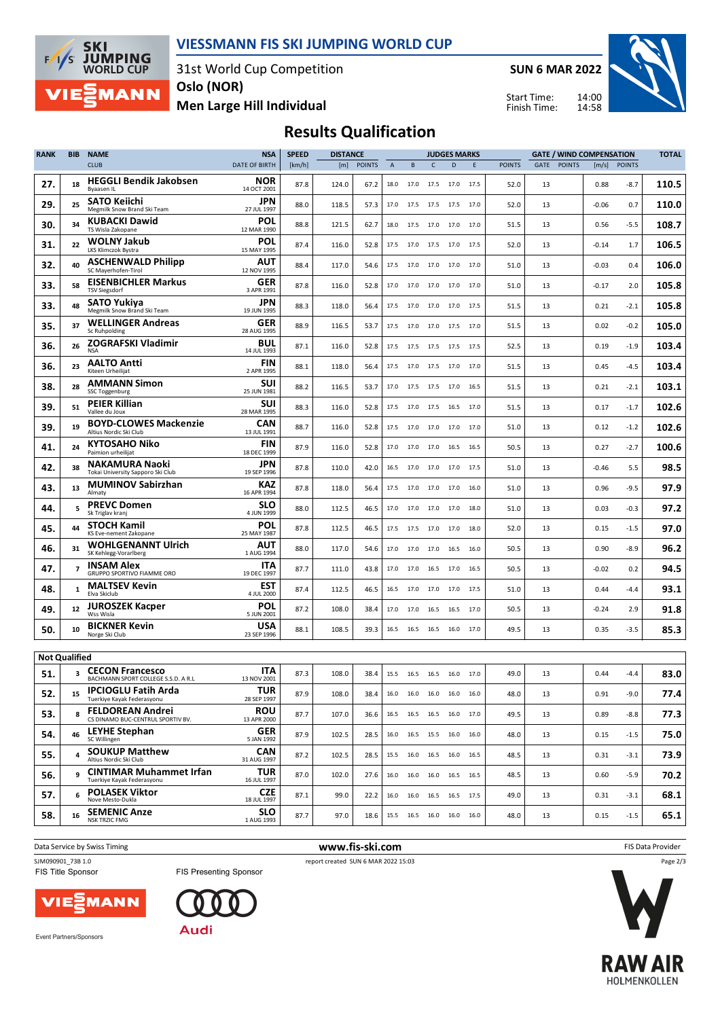

31st World Cup Competition **Oslo (NOR)**

**SUN 6 MAR 2022** Start Time:

Finish Time:



**Men Large Hill Individual**

**SKI** 

 $F/1/S$ 

**JUMPING**<br>WORLD CUP

**MANN** 

**Results Qualification**

| <b>RANK</b>          | <b>BIB</b> | <b>NAME</b>                                                   | <b>NSA</b>                | <b>SPEED</b> | <b>DISTANCE</b> |               |                |      | <b>JUDGES MARKS</b> |                              | <b>GATE / WIND COMPENSATION</b> |               |                | <b>TOTAL</b> |              |       |
|----------------------|------------|---------------------------------------------------------------|---------------------------|--------------|-----------------|---------------|----------------|------|---------------------|------------------------------|---------------------------------|---------------|----------------|--------------|--------------|-------|
|                      |            | <b>CLUB</b>                                                   | <b>DATE OF BIRTH</b>      | [km/h]       | [m]             | <b>POINTS</b> | $\overline{A}$ | B    | $\mathsf{C}$        | D                            | E                               | <b>POINTS</b> | POINTS<br>GATE |              | [m/s] POINTS |       |
| 27.                  | 18         | <b>HEGGLI Bendik Jakobsen</b><br>Byaasen IL                   | NOR<br>14 OCT 2001        | 87.8         | 124.0           | 67.2          | 18.0           | 17.0 | 17.5                | 17.0                         | 17.5                            | 52.0          | 13             | 0.88         | $-8.7$       | 110.5 |
| 29.                  | 25         | SATO Keiichi<br>Megmilk Snow Brand Ski Team                   | JPN<br>27 JUL 1997        | 88.0         | 118.5           | 57.3          | 17.0           | 17.5 |                     | 17.5 17.5 17.0               |                                 | 52.0          | 13             | $-0.06$      | 0.7          | 110.0 |
| 30.                  | 34         | <b>KUBACKI Dawid</b><br>TS Wisla Zakopane                     | POL<br>12 MAR 1990        | 88.8         | 121.5           | 62.7          | 18.0           |      |                     | 17.5 17.0 17.0 17.0          |                                 | 51.5          | 13             | 0.56         | -5.5         | 108.7 |
| 31.                  | 22         | <b>WOLNY Jakub</b><br>LKS Klimczok Bystra                     | POL<br>15 MAY 1995        | 87.4         | 116.0           | 52.8          | 17.5           | 17.0 | 17.5                | 17.0                         | 17.5                            | 52.0          | 13             | $-0.14$      | 1.7          | 106.5 |
| 32.                  | 40         | <b>ASCHENWALD Philipp</b><br>SC Mayerhofen-Tirol              | <b>AUT</b><br>12 NOV 1995 | 88.4         | 117.0           | 54.6          | 17.5           | 17.0 | 17.0                | 17.0                         | 17.0                            | 51.0          | 13             | $-0.03$      | 0.4          | 106.0 |
| 33.                  | 58         | <b>EISENBICHLER Markus</b><br><b>TSV Siegsdorf</b>            | GER<br>3 APR 1991         | 87.8         | 116.0           | 52.8          | 17.0           | 17.0 | 17.0                | 17.0                         | 17.0                            | 51.0          | 13             | $-0.17$      | 2.0          | 105.8 |
| 33.                  | 48         | SATO Yukiya<br>Megmilk Snow Brand Ski Team                    | JPN<br>19 JUN 1995        | 88.3         | 118.0           | 56.4          | 17.5           |      | 17.0 17.0           | 17.0 17.5                    |                                 | 51.5          | 13             | 0.21         | $-2.1$       | 105.8 |
| 35.                  | 37         | <b>WELLINGER Andreas</b><br>Sc Ruhpolding                     | GER<br>28 AUG 1995        | 88.9         | 116.5           | 53.7          | 17.5           | 17.0 | 17.0                | 17.5                         | 17.0                            | 51.5          | 13             | 0.02         | $-0.2$       | 105.0 |
| 36.                  | 26         | <b>ZOGRAFSKI Vladimir</b><br><b>NSA</b>                       | <b>BUL</b><br>14 JUL 1993 | 87.1         | 116.0           | 52.8          | 17.5           | 17.5 | 17.5                | 17.5                         | 17.5                            | 52.5          | 13             | 0.19         | $-1.9$       | 103.4 |
| 36.                  | 23         | <b>AALTO Antti</b><br>Kiteen Urheilijat                       | <b>FIN</b><br>2 APR 1995  | 88.1         | 118.0           | 56.4          | 17.5           | 17.0 | 17.5                | 17.0                         | 17.0                            | 51.5          | 13             | 0.45         | $-4.5$       | 103.4 |
| 38.                  | 28         | <b>AMMANN Simon</b><br>SSC Toggenburg                         | SUI<br>25 JUN 1981        | 88.2         | 116.5           | 53.7          | 17.0           | 17.5 | 17.5                | 17.0                         | 16.5                            | 51.5          | 13             | 0.21         | $-2.1$       | 103.1 |
| 39.                  | 51         | <b>PEIER Killian</b><br>Vallee du Joux                        | SUI<br>28 MAR 1995        | 88.3         | 116.0           | 52.8          | 17.5           | 17.0 | 17.5 16.5           |                              | 17.0                            | 51.5          | 13             | 0.17         | $-1.7$       | 102.6 |
| 39.                  | 19         | <b>BOYD-CLOWES Mackenzie</b><br>Altius Nordic Ski Club        | CAN<br>13 JUL 1991        | 88.7         | 116.0           | 52.8          | 17.5           | 17.0 | 17.0                | 17.0                         | 17.0                            | 51.0          | 13             | 0.12         | $-1.2$       | 102.6 |
| 41.                  | 24         | <b>KYTOSAHO Niko</b><br>Paimion urheilijat                    | <b>FIN</b><br>18 DEC 1999 | 87.9         | 116.0           | 52.8          | 17.0           | 17.0 | 17.0                | 16.5                         | 16.5                            | 50.5          | 13             | 0.27         | $-2.7$       | 100.6 |
| 42.                  | 38         | <b>NAKAMURA Naoki</b><br>Tokai University Sapporo Ski Club    | JPN<br>19 SEP 1996        | 87.8         | 110.0           | 42.0          | 16.5           | 17.0 | 17.0                | 17.0                         | 17.5                            | 51.0          | 13             | $-0.46$      | 5.5          | 98.5  |
| 43.                  | 13         | <b>MUMINOV Sabirzhan</b><br>Almaty                            | <b>KAZ</b><br>16 APR 1994 | 87.8         | 118.0           | 56.4          | 17.5           | 17.0 | 17.0                | 17.0                         | 16.0                            | 51.0          | 13             | 0.96         | $-9.5$       | 97.9  |
| 44.                  | 5          | <b>PREVC Domen</b><br>Sk Triglav kranj                        | SLO<br>4 JUN 1999         | 88.0         | 112.5           | 46.5          | 17.0           | 17.0 | 17.0                | 17.0                         | 18.0                            | 51.0          | 13             | 0.03         | $-0.3$       | 97.2  |
| 45.                  | 44         | <b>STOCH Kamil</b><br>KS Eve-nement Zakopane                  | POL<br>25 MAY 1987        | 87.8         | 112.5           | 46.5          | 17.5           | 17.5 | 17.0                | 17.0                         | 18.0                            | 52.0          | 13             | 0.15         | $-1.5$       | 97.0  |
| 46.                  | 31         | <b>WOHLGENANNT Ulrich</b><br>SK Kehlegg-Vorarlberg            | AUT<br>1 AUG 1994         | 88.0         | 117.0           | 54.6          | 17.0           | 17.0 | 17.0                | 16.5                         | 16.0                            | 50.5          | 13             | 0.90         | $-8.9$       | 96.2  |
| 47.                  | 7          | <b>INSAM Alex</b><br>GRUPPO SPORTIVO FIAMME ORO               | ITA<br>19 DEC 1997        | 87.7         | 111.0           | 43.8          | 17.0           | 17.0 | 16.5                | 17.0                         | 16.5                            | 50.5          | 13             | $-0.02$      | 0.2          | 94.5  |
| 48.                  | 1          | <b>MALTSEV Kevin</b><br>Elva Skiclub                          | <b>EST</b><br>4 JUL 2000  | 87.4         | 112.5           | 46.5          | 16.5           |      |                     | 17.0 17.0 17.0 17.5          |                                 | 51.0          | 13             | 0.44         | $-4.4$       | 93.1  |
| 49.                  | 12         | <b>JUROSZEK Kacper</b><br>Wss Wisla                           | <b>POL</b><br>5 JUN 2001  | 87.2         | 108.0           | 38.4          | 17.0           | 17.0 | 16.5                | 16.5                         | 17.0                            | 50.5          | 13             | $-0.24$      | 2.9          | 91.8  |
| 50.                  | 10         | <b>BICKNER Kevin</b><br>Norge Ski Club                        | USA<br>23 SEP 1996        | 88.1         | 108.5           | 39.3          | 16.5           | 16.5 | 16.5                | 16.0                         | 17.0                            | 49.5          | 13             | 0.35         | $-3.5$       | 85.3  |
| <b>Not Qualified</b> |            |                                                               |                           |              |                 |               |                |      |                     |                              |                                 |               |                |              |              |       |
| 51.                  | 3          | <b>CECON Francesco</b><br>BACHMANN SPORT COLLEGE S.S.D. A R.L | ITA<br>13 NOV 2001        | 87.3         | 108.0           | 38.4          | 15.5           |      | 16.5 16.5 16.0      |                              | 17.0                            | 49.0          | 13             | 0.44         | $-4.4$       | 83.0  |
| 52.                  | 15         | <b>IPCIOGLU Fatih Arda</b><br>Tuerkiye Kayak Federasyonu      | TUR<br>28 SEP 1997        | 87.9         | 108.0           | 38.4          | 16.0           |      |                     | 16.0 16.0 16.0 16.0          |                                 | 48.0          | 13             | 0.91         | $-9.0$       | 77.4  |
| 53.                  | 8          | <b>FELDOREAN Andrei</b><br>CS DINAMO BUC-CENTRUL SPORTIV BV.  | <b>ROU</b><br>13 APR 2000 | 87.7         | 107.0           | 36.6          | 16.5           |      |                     | 16.5 16.5 16.0 17.0          |                                 | 49.5          | 13             | 0.89         | $-8.8$       | 77.3  |
| 54.                  | 46         | <b>LEYHE Stephan</b><br>SC Willingen                          | <b>GER</b><br>5 JAN 1992  | 87.9         | 102.5           | 28.5          |                |      |                     | 16.0  16.5  15.5  16.0  16.0 |                                 | 48.0          | 13             | 0.15         | $-1.5$       | 75.0  |
| 55.                  | 4          | <b>SOUKUP Matthew</b><br>Altius Nordic Ski Club               | <b>CAN</b><br>31 AUG 1997 | 87.2         | 102.5           | 28.5          |                |      |                     | 15.5 16.0 16.5 16.0 16.5     |                                 | 48.5          | 13             | 0.31         | $-3.1$       | 73.9  |
| 56.                  | 9          | <b>CINTIMAR Muhammet Irfan</b><br>Tuerkiye Kayak Federasyonu  | TUR<br>16 JUL 1997        | 87.0         | 102.0           | 27.6          | 16.0           |      |                     | 16.0 16.0 16.5 16.5          |                                 | 48.5          | 13             | 0.60         | $-5.9$       | 70.2  |
| 57.                  | 6          | <b>POLASEK Viktor</b><br>Nove Mesto-Dukla                     | <b>CZE</b><br>18 JUL 1997 | 87.1         | 99.0            | 22.2          | 16.0           |      |                     | 16.0 16.5 16.5 17.5          |                                 | 49.0          | 13             | 0.31         | $-3.1$       | 68.1  |
| 58.                  | 16         | <b>SEMENIC Anze</b><br>NSK TRZIC FMG                          | <b>SLO</b><br>1 AUG 1993  | 87.7         | 97.0            | 18.6          |                |      |                     | 15.5 16.5 16.0 16.0 16.0     |                                 | 48.0          | 13             | 0.15         | $-1.5$       | 65.1  |
|                      |            |                                                               |                           |              |                 |               |                |      |                     |                              |                                 |               |                |              |              |       |

**Data Service by Swiss Timing** FIS Data Provider

SJM090901\_73B 1.0<br>
FIS Title Sponsor<br>
FIS Presenting Sponsor<br>
FIS Title Sponsor<br>
FIS Title Sponsor

Page 2/3

**MANN** /IE)